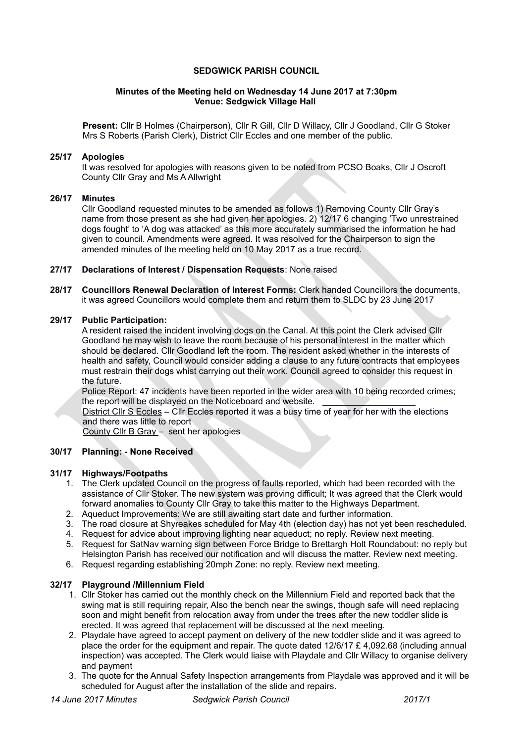## **SEDGWICK PARISH COUNCIL**

### **Minutes of the Meeting held on Wednesday 14 June 2017 at 7:30pm Venue: Sedgwick Village Hall**

**Present:** Cllr B Holmes (Chairperson), Cllr R Gill, Cllr D Willacy, Cllr J Goodland, Cllr G Stoker Mrs S Roberts (Parish Clerk), District Cllr Eccles and one member of the public.

# **25/17 Apologies**

It was resolved for apologies with reasons given to be noted from PCSO Boaks, Cllr J Oscroft County Cllr Gray and Ms A Allwright

### **26/17 Minutes**

Cllr Goodland requested minutes to be amended as follows 1) Removing County Cllr Gray's name from those present as she had given her apologies. 2) 12/17 6 changing 'Two unrestrained dogs fought' to 'A dog was attacked' as this more accurately summarised the information he had given to council. Amendments were agreed. It was resolved for the Chairperson to sign the amended minutes of the meeting held on 10 May 2017 as a true record.

### **27/17 Declarations of Interest / Dispensation Requests**: None raised

**28/17 Councillors Renewal Declaration of Interest Forms:** Clerk handed Councillors the documents, it was agreed Councillors would complete them and return them to SLDC by 23 June 2017

#### **29/17 Public Participation:**

A resident raised the incident involving dogs on the Canal. At this point the Clerk advised Cllr Goodland he may wish to leave the room because of his personal interest in the matter which should be declared. Cllr Goodland left the room. The resident asked whether in the interests of health and safety, Council would consider adding a clause to any future contracts that employees must restrain their dogs whist carrying out their work. Council agreed to consider this request in the future.

Police Report: 47 incidents have been reported in the wider area with 10 being recorded crimes; the report will be displayed on the Noticeboard and website.

District Cllr S Eccles – Cllr Eccles reported it was a busy time of year for her with the elections and there was little to report

County Cllr B Gray – sent her apologies

### **30/17 Planning: - None Received**

#### **31/17 Highways/Footpaths**

- 1. The Clerk updated Council on the progress of faults reported, which had been recorded with the assistance of Cllr Stoker. The new system was proving difficult; It was agreed that the Clerk would forward anomalies to County Cllr Gray to take this matter to the Highways Department.
- 2. Aqueduct Improvements: We are still awaiting start date and further information.
- 3. The road closure at Shyreakes scheduled for May 4th (election day) has not yet been rescheduled.
- 4. Request for advice about improving lighting near aqueduct; no reply. Review next meeting.
- 5. Request for SatNav warning sign between Force Bridge to Brettargh Holt Roundabout: no reply but Helsington Parish has received our notification and will discuss the matter. Review next meeting.
- 6. Request regarding establishing 20mph Zone: no reply. Review next meeting.

## **32/17 Playground /Millennium Field**

- 1. Cllr Stoker has carried out the monthly check on the Millennium Field and reported back that the swing mat is still requiring repair, Also the bench near the swings, though safe will need replacing soon and might benefit from relocation away from under the trees after the new toddler slide is erected. It was agreed that replacement will be discussed at the next meeting.
- 2. Playdale have agreed to accept payment on delivery of the new toddler slide and it was agreed to place the order for the equipment and repair. The quote dated  $12/6/17 \text{ E}$  4,092.68 (including annual inspection) was accepted. The Clerk would liaise with Playdale and Cllr Willacy to organise delivery and payment
- 3. The quote for the Annual Safety Inspection arrangements from Playdale was approved and it will be scheduled for August after the installation of the slide and repairs.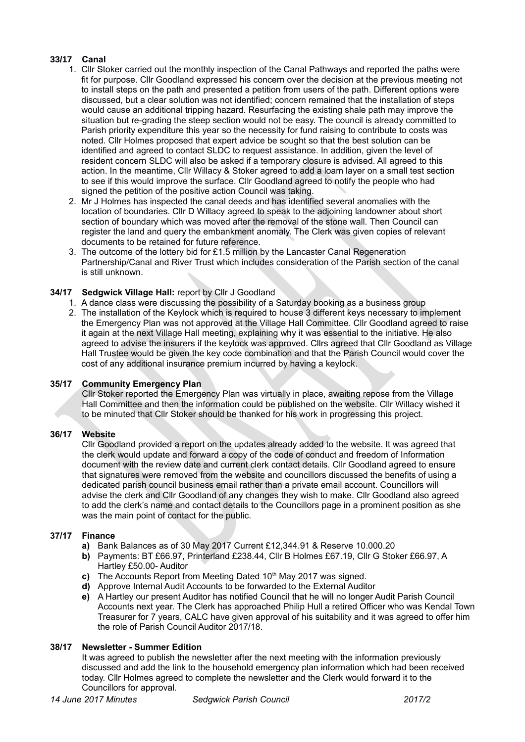# **33/17 Canal**

- 1. Cllr Stoker carried out the monthly inspection of the Canal Pathways and reported the paths were fit for purpose. Cllr Goodland expressed his concern over the decision at the previous meeting not to install steps on the path and presented a petition from users of the path. Different options were discussed, but a clear solution was not identified; concern remained that the installation of steps would cause an additional tripping hazard. Resurfacing the existing shale path may improve the situation but re-grading the steep section would not be easy. The council is already committed to Parish priority expenditure this year so the necessity for fund raising to contribute to costs was noted. Cllr Holmes proposed that expert advice be sought so that the best solution can be identified and agreed to contact SLDC to request assistance. In addition, given the level of resident concern SLDC will also be asked if a temporary closure is advised. All agreed to this action. In the meantime, Cllr Willacy & Stoker agreed to add a loam layer on a small test section to see if this would improve the surface. Cllr Goodland agreed to notify the people who had signed the petition of the positive action Council was taking.
- 2. Mr J Holmes has inspected the canal deeds and has identified several anomalies with the location of boundaries. Cllr D Willacy agreed to speak to the adjoining landowner about short section of boundary which was moved after the removal of the stone wall. Then Council can register the land and query the embankment anomaly. The Clerk was given copies of relevant documents to be retained for future reference.
- 3. The outcome of the lottery bid for £1.5 million by the Lancaster Canal Regeneration Partnership/Canal and River Trust which includes consideration of the Parish section of the canal is still unknown.

# **34/17 Sedgwick Village Hall:** report by Cllr J Goodland

- 1. A dance class were discussing the possibility of a Saturday booking as a business group
- 2. The installation of the Keylock which is required to house 3 different keys necessary to implement the Emergency Plan was not approved at the Village Hall Committee. Cllr Goodland agreed to raise it again at the next Village Hall meeting, explaining why it was essential to the initiative. He also agreed to advise the insurers if the keylock was approved. Cllrs agreed that Cllr Goodland as Village Hall Trustee would be given the key code combination and that the Parish Council would cover the cost of any additional insurance premium incurred by having a keylock.

# **35/17 Community Emergency Plan**

Cllr Stoker reported the Emergency Plan was virtually in place, awaiting repose from the Village Hall Committee and then the information could be published on the website. Cllr Willacy wished it to be minuted that Cllr Stoker should be thanked for his work in progressing this project.

# **36/17 Website**

Cllr Goodland provided a report on the updates already added to the website. It was agreed that the clerk would update and forward a copy of the code of conduct and freedom of Information document with the review date and current clerk contact details. Cllr Goodland agreed to ensure that signatures were removed from the website and councillors discussed the benefits of using a dedicated parish council business email rather than a private email account. Councillors will advise the clerk and Cllr Goodland of any changes they wish to make. Cllr Goodland also agreed to add the clerk's name and contact details to the Councillors page in a prominent position as she was the main point of contact for the public.

# **37/17 Finance**

- **a)** Bank Balances as of 30 May 2017 Current £12,344.91 & Reserve 10.000.20
- **b)** Payments: BT £66.97, Printerland £238.44, Cllr B Holmes £67.19, Cllr G Stoker £66.97, A Hartley £50.00- Auditor
- **c)** The Accounts Report from Meeting Dated 10<sup>th</sup> May 2017 was signed.
- **d)** Approve Internal Audit Accounts to be forwarded to the External Auditor
- **e)** A Hartley our present Auditor has notified Council that he will no longer Audit Parish Council Accounts next year. The Clerk has approached Philip Hull a retired Officer who was Kendal Town Treasurer for 7 years, CALC have given approval of his suitability and it was agreed to offer him the role of Parish Council Auditor 2017/18.

# **38/17 Newsletter - Summer Edition**

It was agreed to publish the newsletter after the next meeting with the information previously discussed and add the link to the household emergency plan information which had been received today. Cllr Holmes agreed to complete the newsletter and the Clerk would forward it to the Councillors for approval.